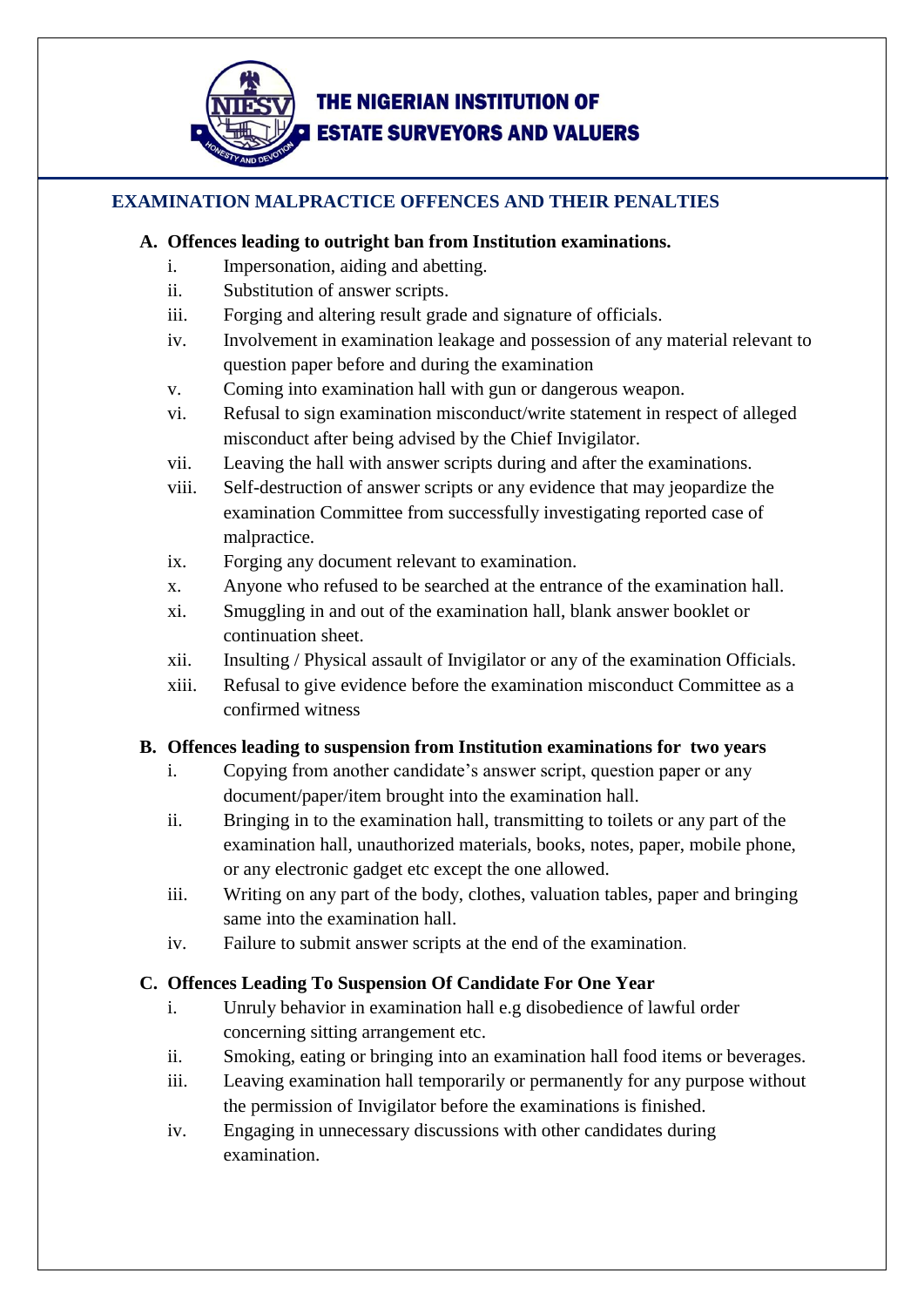

# **THE NIGERIAN INSTITUTION OF ESTATE SURVEYORS AND VALUERS**

### **EXAMINATION MALPRACTICE OFFENCES AND THEIR PENALTIES**

#### **A. Offences leading to outright ban from Institution examinations.**

- i. Impersonation, aiding and abetting.
- ii. Substitution of answer scripts.
- iii. Forging and altering result grade and signature of officials.
- iv. Involvement in examination leakage and possession of any material relevant to question paper before and during the examination
- v. Coming into examination hall with gun or dangerous weapon.
- vi. Refusal to sign examination misconduct/write statement in respect of alleged misconduct after being advised by the Chief Invigilator.
- vii. Leaving the hall with answer scripts during and after the examinations.
- viii. Self-destruction of answer scripts or any evidence that may jeopardize the examination Committee from successfully investigating reported case of malpractice.
- ix. Forging any document relevant to examination.
- x. Anyone who refused to be searched at the entrance of the examination hall.
- xi. Smuggling in and out of the examination hall, blank answer booklet or continuation sheet.
- xii. Insulting / Physical assault of Invigilator or any of the examination Officials.
- xiii. Refusal to give evidence before the examination misconduct Committee as a confirmed witness

#### **B. Offences leading to suspension from Institution examinations for two years**

- i. Copying from another candidate's answer script, question paper or any document/paper/item brought into the examination hall.
- ii. Bringing in to the examination hall, transmitting to toilets or any part of the examination hall, unauthorized materials, books, notes, paper, mobile phone, or any electronic gadget etc except the one allowed.
- iii. Writing on any part of the body, clothes, valuation tables, paper and bringing same into the examination hall.
- iv. Failure to submit answer scripts at the end of the examination.

## **C. Offences Leading To Suspension Of Candidate For One Year**

- i. Unruly behavior in examination hall e.g disobedience of lawful order concerning sitting arrangement etc.
- ii. Smoking, eating or bringing into an examination hall food items or beverages.
- iii. Leaving examination hall temporarily or permanently for any purpose without the permission of Invigilator before the examinations is finished.
- iv. Engaging in unnecessary discussions with other candidates during examination.